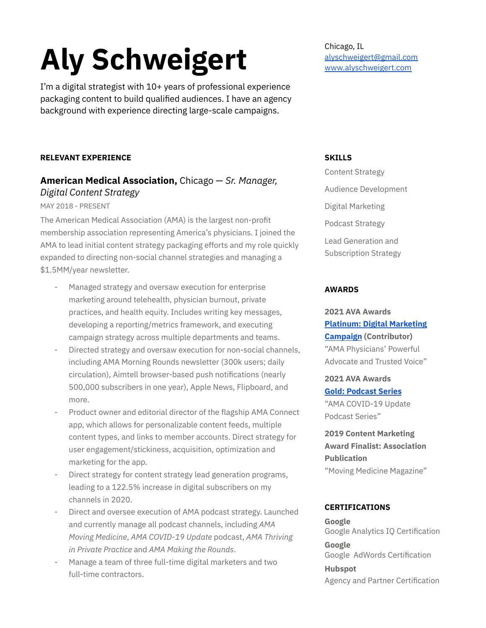# **Aly Schweigert**

I'm a digital strategist with 10+ years of professional experience packaging content to build qualified audiences. I have an agency background with experience directing large-scale campaigns.

### **RELEVANT EXPERIENCE**

## **American Medical Association,** Chicago — *Sr. Manager, Digital Content Strategy*

#### MAY 2018 - PRESENT

The American Medical Association (AMA) is the largest non-profit membership association representing America's physicians. I joined the AMA to lead initial content strategy packaging efforts and my role quickly expanded to directing non-social channel strategies and managing a \$1.5MM/year newsletter.

- Managed strategy and oversaw execution for enterprise marketing around telehealth, physician burnout, private practices, and health equity. Includes writing key messages, developing a reporting/metrics framework, and executing campaign strategy across multiple departments and teams.
- Directed strategy and oversaw execution for non-social channels, including AMA Morning Rounds newsletter (300k users; daily circulation), Aimtell browser-based push notifications (nearly 500,000 subscribers in one year), Apple News, Flipboard, and more.
- Product owner and editorial director of the flagship AMA Connect app, which allows for personalizable content feeds, multiple content types, and links to member accounts. Direct strategy for user engagement/stickiness, acquisition, optimization and marketing for the app.
- Direct strategy for content strategy lead generation programs, leading to a 122.5% increase in digital subscribers on my channels in 2020.
- Direct and oversee execution of AMA podcast strategy. Launched and currently manage all podcast channels, including *AMA Moving Medicine*, *AMA COVID-19 Update* podcast, *AMA Thriving in Private Practice* and *AMA Making the Rounds*.
- Manage a team of three full-time digital marketers and two full-time contractors.

Chicago, IL [alyschweigert@gmail.com](mailto:alyschweigert@gmail.com) [www.alyschweigert.com](http://www.alyschweigert.com)

#### **SKILLS**

Content Strategy Audience Development Digital Marketing Podcast Strategy Lead Generation and Subscription Strategy

#### **AWARDS**

## **2021 AVA Awards Platinum: Digital [Marketing](https://enter.avaawards.com/entry/physicians-powerful-advocate-and-trusted-voice/) [Campaign](https://enter.avaawards.com/entry/physicians-powerful-advocate-and-trusted-voice/) (Contributor)** "AMA Physicians' Powerful

Advocate and Trusted Voice"

**2021 AVA Awards Gold: [Podcast](https://enter.avaawards.com/entry/ama-covid-19-update-podcast-series/) Series** "AMA COVID-19 Update Podcast Series"

**2019 Content Marketing Award Finalist: Association Publication** "Moving Medicine Magazine"

#### **CERTIFICATIONS**

**Google** Google Analytics IQ Certification

**Google** Google AdWords Certification

**Hubspot** Agency and Partner Certification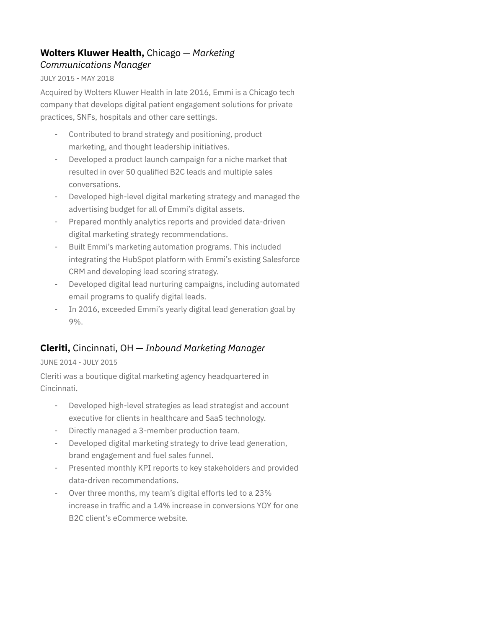## **Wolters Kluwer Health,** Chicago — *Marketing Communications Manager*

#### JULY 2015 - MAY 2018

Acquired by Wolters Kluwer Health in late 2016, Emmi is a Chicago tech company that develops digital patient engagement solutions for private practices, SNFs, hospitals and other care settings.

- Contributed to brand strategy and positioning, product marketing, and thought leadership initiatives.
- Developed a product launch campaign for a niche market that resulted in over 50 qualified B2C leads and multiple sales conversations.
- Developed high-level digital marketing strategy and managed the advertising budget for all of Emmi's digital assets.
- Prepared monthly analytics reports and provided data-driven digital marketing strategy recommendations.
- Built Emmi's marketing automation programs. This included integrating the HubSpot platform with Emmi's existing Salesforce CRM and developing lead scoring strategy.
- Developed digital lead nurturing campaigns, including automated email programs to qualify digital leads.
- In 2016, exceeded Emmi's yearly digital lead generation goal by 9%.

## **Cleriti,** Cincinnati, OH — *Inbound Marketing Manager*

#### JUNE 2014 - JULY 2015

Cleriti was a boutique digital marketing agency headquartered in Cincinnati.

- Developed high-level strategies as lead strategist and account executive for clients in healthcare and SaaS technology.
- Directly managed a 3-member production team.
- Developed digital marketing strategy to drive lead generation, brand engagement and fuel sales funnel.
- Presented monthly KPI reports to key stakeholders and provided data-driven recommendations.
- Over three months, my team's digital efforts led to a 23% increase in traffic and a 14% increase in conversions YOY for one B2C client's eCommerce website.